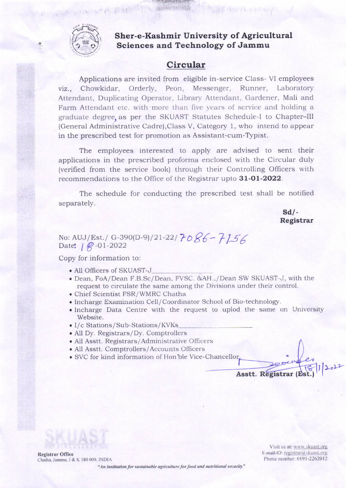

**化氯丙基苯基甲基甲基苯基** 

### Sher-e-Kashmir University of Agricultural Sciences and Technology of Jammu

# Circular

Applications are invited from eligible in-service Class-VI employees viz., Chowkidar, Orderly, Peon, Messenger, Runner, Laboratory Attendant, Duplicating Operator, Library Attendant, Gardener, Mali and Farm Attendant etc. with more than five years of service and holding a graduate degree, as per the SKUAST Statutes Schedule-I to Chapter-III (General Administrative Cadre), Class V, Category 1, who intend to appear in the prescribed test for promotion as Assistant-cum-Typist.

The employees interested to apply are advised to sent their applications in the prescribed proforma enclosed with the Circular duly (verified from the service book) through their Controlling Officers with recommendations to the Office of the Registrar upto 31-01-2022.

The schedule for conducting the prescribed test shall be notified separately.

> $Sd$ . Registrar

No: AUJ/Est./ G-390(D-9)/21-22/7086-7156 Date:  $| \mathcal{Q}$ -01-2022

Copy for information to:

- All Officers of SKUAST-J
- · Dean, FoA/Dean F.B.Sc/Dean, FVSC. &AH.,/Dean SW SKUAST-J, with the request to circulate the same among the Divisions under their control.
- · Chief Scientist FSR/WMRC Chatha
- Incharge Examination Cell/Coordinator School of Bio-technology.
- Incharge Data Centre with the request to uplod the same on University Website.
- I/c Stations/Sub-Stations/KVKs
- All Dy. Registrars/Dy. Comptrollers
- All Asstt. Registrars/Administrative Officers
- · All Asstt. Comptrollers/Accounts Officers
- · SVC for kind information of Hon'ble Vice-Chancellor.

**Registrar Office** Chatha, Jammu, J & K 180 009, INDIA

Visit us at: www.skuast.org E-mail-ID: registrar@skuast.org Phone number: 0191-2262012

Asstt. Registrar (Est.)

"An institution for sustainable agriculture for food and nutritional security"